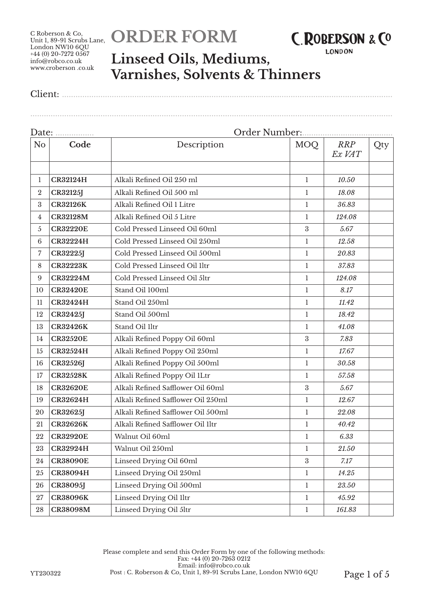# **ORDER FORM**



**LONDON** 

### **Linseed Oils, Mediums, Varnishes, Solvents & Thinners**

Client: ..................................................................................................................................................

................................................................................................................................................................

| Date:<br>.       |                 |                                    | Order Number     |                      |     |  |  |
|------------------|-----------------|------------------------------------|------------------|----------------------|-----|--|--|
| N <sub>o</sub>   | Code            | Description                        | <b>MOQ</b>       | <b>RRP</b><br>Ex VAT | Qty |  |  |
| 1                | <b>CR32124H</b> | Alkali Refined Oil 250 ml          | $\mathbf{1}$     | 10.50                |     |  |  |
| $\boldsymbol{2}$ | <b>CR32125J</b> | Alkali Refined Oil 500 ml          | 1                | 18.08                |     |  |  |
| $\boldsymbol{3}$ | <b>CR32126K</b> | Alkali Refined Oil 1 Litre         | $\mathbf{1}$     | 36.83                |     |  |  |
| 4                | <b>CR32128M</b> | Alkali Refined Oil 5 Litre         | $\mathbf{1}$     | 124.08               |     |  |  |
| 5                | <b>CR32220E</b> | Cold Pressed Linseed Oil 60ml      | $\boldsymbol{3}$ | 5.67                 |     |  |  |
| $\,6\,$          | <b>CR32224H</b> | Cold Pressed Linseed Oil 250ml     | $\mathbf{1}$     | 12.58                |     |  |  |
| 7                | <b>CR32225J</b> | Cold Pressed Linseed Oil 500ml     | 1                | 20.83                |     |  |  |
| 8                | <b>CR32223K</b> | Cold Pressed Linseed Oil 1ltr      | 1                | 37.83                |     |  |  |
| 9                | <b>CR32224M</b> | Cold Pressed Linseed Oil 5ltr      | $\mathbf{1}$     | 124.08               |     |  |  |
| 10               | <b>CR32420E</b> | Stand Oil 100ml                    | $\mathbf{1}$     | 8.17                 |     |  |  |
| 11               | <b>CR32424H</b> | Stand Oil 250ml                    | $\mathbf{1}$     | 11.42                |     |  |  |
| 12               | <b>CR32425J</b> | Stand Oil 500ml                    | $\mathbf{1}$     | 18.42                |     |  |  |
| 13               | <b>CR32426K</b> | Stand Oil 11tr                     | 1                | 41.08                |     |  |  |
| 14               | <b>CR32520E</b> | Alkali Refined Poppy Oil 60ml      | $\boldsymbol{3}$ | 7.83                 |     |  |  |
| 15               | <b>CR32524H</b> | Alkali Refined Poppy Oil 250ml     | $\mathbf{1}$     | 17.67                |     |  |  |
| 16               | <b>CR32526J</b> | Alkali Refined Poppy Oil 500ml     | $\mathbf{1}$     | 30.58                |     |  |  |
| 17               | <b>CR32528K</b> | Alkali Refined Poppy Oil 1Ltr      | $\mathbf{1}$     | 57.58                |     |  |  |
| 18               | <b>CR32620E</b> | Alkali Refined Safflower Oil 60ml  | $\boldsymbol{3}$ | 5.67                 |     |  |  |
| 19               | <b>CR32624H</b> | Alkali Refined Safflower Oil 250ml | $\mathbf{1}$     | 12.67                |     |  |  |
| 20               | <b>CR32625J</b> | Alkali Refined Safflower Oil 500ml | $\mathbf{1}$     | 22.08                |     |  |  |
| 21               | <b>CR32626K</b> | Alkali Refined Safflower Oil 1ltr  | $\mathbf{1}$     | 40.42                |     |  |  |
| 22               | <b>CR32920E</b> | Walnut Oil 60ml                    | 1                | 6.33                 |     |  |  |
| 23               | <b>CR32924H</b> | Walnut Oil 250ml                   | $\perp$          | 21.50                |     |  |  |
| 24               | <b>CR38090E</b> | Linseed Drying Oil 60ml            | $\boldsymbol{3}$ | 7.17                 |     |  |  |
| 25               | <b>CR38094H</b> | Linseed Drying Oil 250ml           | $\mathbf{1}$     | 14.25                |     |  |  |
| 26               | <b>CR38095J</b> | Linseed Drying Oil 500ml           | $\mathbf{1}$     | $23.50\,$            |     |  |  |
| $27\,$           | <b>CR38096K</b> | Linseed Drying Oil 1ltr            | $\mathbf{1}$     | 45.92                |     |  |  |
| 28               | <b>CR38098M</b> | Linseed Drying Oil 5ltr            | $\mathbf{1}$     | 161.83               |     |  |  |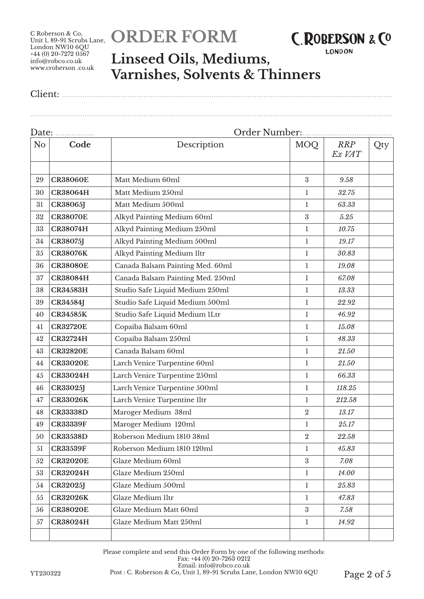# **ORDER FORM**



**LONDON** 

### **Linseed Oils, Mediums, Varnishes, Solvents & Thinners**

Client: ..................................................................................................................................................

................................................................................................................................................................

| Date:          | .               |                                   |                  |                      |     |  |  |
|----------------|-----------------|-----------------------------------|------------------|----------------------|-----|--|--|
| N <sub>o</sub> | Code            | Description                       | MOQ              | <b>RRP</b><br>Ex VAT | Qty |  |  |
|                |                 |                                   |                  |                      |     |  |  |
| 29             | <b>CR38060E</b> | Matt Medium 60ml                  | 3                | 9.58                 |     |  |  |
| 30             | <b>CR38064H</b> | Matt Medium 250ml                 | 1                | 32.75                |     |  |  |
| 31             | <b>CR38065J</b> | Matt Medium 500ml                 | $\mathbf{1}$     | 63.33                |     |  |  |
| 32             | <b>CR38070E</b> | Alkyd Painting Medium 60ml        | $\boldsymbol{3}$ | 5.25                 |     |  |  |
| 33             | <b>CR38074H</b> | Alkyd Painting Medium 250ml       | 1                | 10.75                |     |  |  |
| 34             | <b>CR38075J</b> | Alkyd Painting Medium 500ml       | $\mathbf{1}$     | 19.17                |     |  |  |
| 35             | <b>CR38076K</b> | Alkyd Painting Medium 1ltr        | 1                | 30.83                |     |  |  |
| 36             | <b>CR38080E</b> | Canada Balsam Painting Med. 60ml  | $\mathbf{1}$     | 19.08                |     |  |  |
| 37             | <b>CR38084H</b> | Canada Balsam Painting Med. 250ml | $\mathbf{1}$     | 67.08                |     |  |  |
| 38             | <b>CR34583H</b> | Studio Safe Liquid Medium 250ml   | $\mathbf{1}$     | 13.33                |     |  |  |
| 39             | <b>CR34584J</b> | Studio Safe Liquid Medium 500ml   | $\mathbf{1}$     | 22.92                |     |  |  |
| 40             | <b>CR34585K</b> | Studio Safe Liquid Medium 1Ltr    | 1                | 46.92                |     |  |  |
| 41             | <b>CR32720E</b> | Copaiba Balsam 60ml               | $\mathbf{1}$     | 15.08                |     |  |  |
| 42             | <b>CR32724H</b> | Copaiba Balsam 250ml              | 1                | 48.33                |     |  |  |
| 43             | <b>CR32820E</b> | Canada Balsam 60ml                | $\mathbf{1}$     | 21.50                |     |  |  |
| 44             | <b>CR33020E</b> | Larch Venice Turpentine 60ml      | $\mathbf{1}$     | 21.50                |     |  |  |
| 45             | <b>CR33024H</b> | Larch Venice Turpentine 250ml     | $\mathbf{1}$     | 66.33                |     |  |  |
| 46             | <b>CR33025J</b> | Larch Venice Turpentine 500ml     | $\mathbf{1}$     | 118.25               |     |  |  |
| 47             | <b>CR33026K</b> | Larch Venice Turpentine Iltr      | 1                | 212.58               |     |  |  |
| 48             | <b>CR33338D</b> | Maroger Medium 38ml               | $\boldsymbol{2}$ | 13.17                |     |  |  |
| 49             | <b>CR33339F</b> | Maroger Medium 120ml              | 1                | 25.17                |     |  |  |
| 50             | <b>CR33538D</b> | Roberson Medium 1810 38ml         | $\boldsymbol{2}$ | 22.58                |     |  |  |
| 51             | <b>CR33539F</b> | Roberson Medium 1810 120ml        | $\mathbf{1}$     | 45.83                |     |  |  |
| 52             | <b>CR32020E</b> | Glaze Medium 60ml                 | 3                | 7.08                 |     |  |  |
| 53             | <b>CR32024H</b> | Glaze Medium 250ml                | $\mathbf{1}$     | 14.00                |     |  |  |
| 54             | <b>CR32025J</b> | Glaze Medium 500ml                | 1                | 25.83                |     |  |  |
| 55             | <b>CR32026K</b> | Glaze Medium Iltr                 | 1                | 47.83                |     |  |  |
| 56             | <b>CR38020E</b> | Glaze Medium Matt 60ml            | 3                | 7.58                 |     |  |  |
| 57             | <b>CR38024H</b> | Glaze Medium Matt 250ml           | $\mathbf{1}$     | 14.92                |     |  |  |
|                |                 |                                   |                  |                      |     |  |  |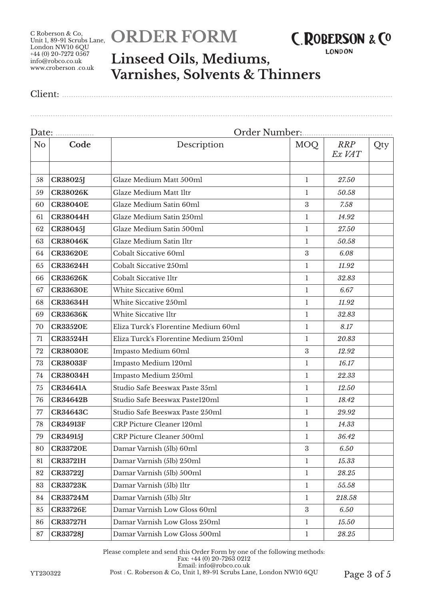# **ORDER FORM**



**LONDON** 

................................................................................................................................................................

### **Linseed Oils, Mediums, Varnishes, Solvents & Thinners**

Client: ..................................................................................................................................................

#### Date: ................. Order Number:........................................ No **Code Description** MOQ *RRP Ex VAT* Qty 58 **CR38025J** Glaze Medium Matt 500ml 1 *27.50* 59 **CR38026K** Glaze Medium Matt 1ltr 1 *50.58* 60 **CR38040E** Glaze Medium Satin 60ml 3 *7.58* 61 **CR38044H** Glaze Medium Satin 250ml 1 *14.92* 62 **CR38045J** Glaze Medium Satin 500ml 1 *27.50* 63 **CR38046K** Glaze Medium Satin 1ltr 1 *50.58* 64 **CR33620E** Cobalt Siccative 60ml 3 *6.08* 65 **CR33624H** Cobalt Siccative 250ml 1 *11.92* 66 **CR33626K** Cobalt Siccative 1ltr 1 *32.83* 67 **CR33630E** White Siccative 60ml 1 *6.67* 68 **CR33634H** White Siccative 250ml 1 *11.92* 69 **CR33636K** White Siccative 1ltr 1 *32.83* 70 **CR33520E** Eliza Turck's Florentine Medium 60ml 1 *8.17* 71 **CR33524H** Eliza Turck's Florentine Medium 250ml 1 *20.83* 72 **CR38030E** Impasto Medium 60ml 3 *12.92* 73 **CR38033F** Impasto Medium 120ml 1 *16.17* 74 **CR38034H** Impasto Medium 250ml 1 *22.33* 75 **CR34641A** Studio Safe Beeswax Paste 35ml 1 *12.50* 76 **CR34642B** Studio Safe Beeswax Paste120ml 1 *18.42* 77 **CR34643C** Studio Safe Beeswax Paste 250ml 1 *29.92* 78 **CR34913F** CRP Picture Cleaner 120ml 1 *14.33* 79 **CR34915J** CRP Picture Cleaner 500ml 1 *36.42* 80 **CR33720E** Damar Varnish (5lb) 60ml 3 *6.50* 81 **CR33721H** Damar Varnish (5lb) 250ml 1 *15.33* 82 **CR33722J** Damar Varnish (5lb) 500ml 1 *28.25* 83 **CR33723K** Damar Varnish (5lb) 1ltr 1 *55.58* 84 **CR33724M** Damar Varnish (5lb) 5ltr 1 *218.58* 85 **CR33726E** Damar Varnish Low Gloss 60ml 3 *6.50* 86 **CR33727H** Damar Varnish Low Gloss 250ml 1 *15.50* 87 **CR33728J** Damar Varnish Low Gloss 500ml 1 *28.25*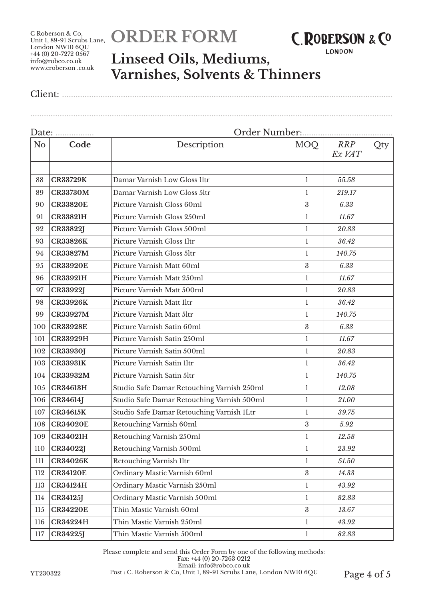# **ORDER FORM**



**LONDON** 

### **Linseed Oils, Mediums, Varnishes, Solvents & Thinners**

Client: ..................................................................................................................................................

................................................................................................................................................................

| Date:          | .               | Order Number:                              |                  |                      |     |  |
|----------------|-----------------|--------------------------------------------|------------------|----------------------|-----|--|
| N <sub>o</sub> | Code            | Description                                | <b>MOQ</b>       | <b>RRP</b><br>Ex VAT | Qty |  |
|                |                 |                                            |                  |                      |     |  |
| 88             | <b>CR33729K</b> | Damar Varnish Low Gloss 1ltr               | $\mathbf{1}$     | 55.58                |     |  |
| 89             | <b>CR33730M</b> | Damar Varnish Low Gloss 5ltr               | 1                | 219.17               |     |  |
| 90             | <b>CR33820E</b> | Picture Varnish Gloss 60ml                 | $\boldsymbol{3}$ | 6.33                 |     |  |
| 91             | <b>CR33821H</b> | Picture Varnish Gloss 250ml                | $\mathbf{1}$     | 11.67                |     |  |
| 92             | <b>CR33822J</b> | Picture Varnish Gloss 500ml                | $\mathbf{1}$     | 20.83                |     |  |
| 93             | <b>CR33826K</b> | Picture Varnish Gloss 1ltr                 | 1                | 36.42                |     |  |
| 94             | <b>CR33827M</b> | Picture Varnish Gloss 5ltr                 | 1                | 140.75               |     |  |
| 95             | <b>CR33920E</b> | Picture Varnish Matt 60ml                  | $\boldsymbol{3}$ | 6.33                 |     |  |
| 96             | <b>CR33921H</b> | Picture Varnish Matt 250ml                 | $\mathbf{1}$     | 11.67                |     |  |
| 97             | <b>CR33922J</b> | Picture Varnish Matt 500ml                 | $\mathbf{1}$     | 20.83                |     |  |
| 98             | <b>CR33926K</b> | Picture Varnish Matt 1ltr                  | $\mathbf{1}$     | 36.42                |     |  |
| 99             | <b>CR33927M</b> | Picture Varnish Matt 5ltr                  | 1                | 140.75               |     |  |
| 100            | <b>CR33928E</b> | Picture Varnish Satin 60ml                 | $\boldsymbol{3}$ | 6.33                 |     |  |
| 101            | <b>CR33929H</b> | Picture Varnish Satin 250ml                | 1                | 11.67                |     |  |
| 102            | <b>CR33930J</b> | Picture Varnish Satin 500ml                | $\mathbf{1}$     | 20.83                |     |  |
| 103            | <b>CR33931K</b> | Picture Varnish Satin Iltr                 | $\mathbf{1}$     | 36.42                |     |  |
| 104            | <b>CR33932M</b> | Picture Varnish Satin 5ltr                 | $\mathbf{1}$     | 140.75               |     |  |
| 105            | <b>CR34613H</b> | Studio Safe Damar Retouching Varnish 250ml | $\mathbf{1}$     | 12.08                |     |  |
| 106            | <b>CR34614J</b> | Studio Safe Damar Retouching Varnish 500ml | $\mathbf{1}$     | 21.00                |     |  |
| 107            | <b>CR34615K</b> | Studio Safe Damar Retouching Varnish 1Ltr  | $\mathbf{1}$     | 39.75                |     |  |
| 108            | <b>CR34020E</b> | Retouching Varnish 60ml                    | $\boldsymbol{3}$ | 5.92                 |     |  |
| 109            | <b>CR34021H</b> | Retouching Varnish 250ml                   | 1                | 12.58                |     |  |
| 110            | <b>CR34022J</b> | Retouching Varnish 500ml                   | $\perp$          | 23.92                |     |  |
| 111            | <b>CR34026K</b> | Retouching Varnish 1ltr                    | 1                | 51.50                |     |  |
| 112            | <b>CR34120E</b> | Ordinary Mastic Varnish 60ml               | $\boldsymbol{3}$ | 14.33                |     |  |
| 113            | <b>CR34124H</b> | Ordinary Mastic Varnish 250ml              | $\mathbf{1}$     | 43.92                |     |  |
| 114            | <b>CR34125J</b> | Ordinary Mastic Varnish 500ml              | 1                | 82.83                |     |  |
| 115            | <b>CR34220E</b> | Thin Mastic Varnish 60ml                   | $\boldsymbol{3}$ | 13.67                |     |  |
| 116            | <b>CR34224H</b> | Thin Mastic Varnish 250ml                  | $\mathbf{1}$     | 43.92                |     |  |
| 117            | <b>CR34225J</b> | Thin Mastic Varnish 500ml                  | $\mathbf{1}$     | 82.83                |     |  |